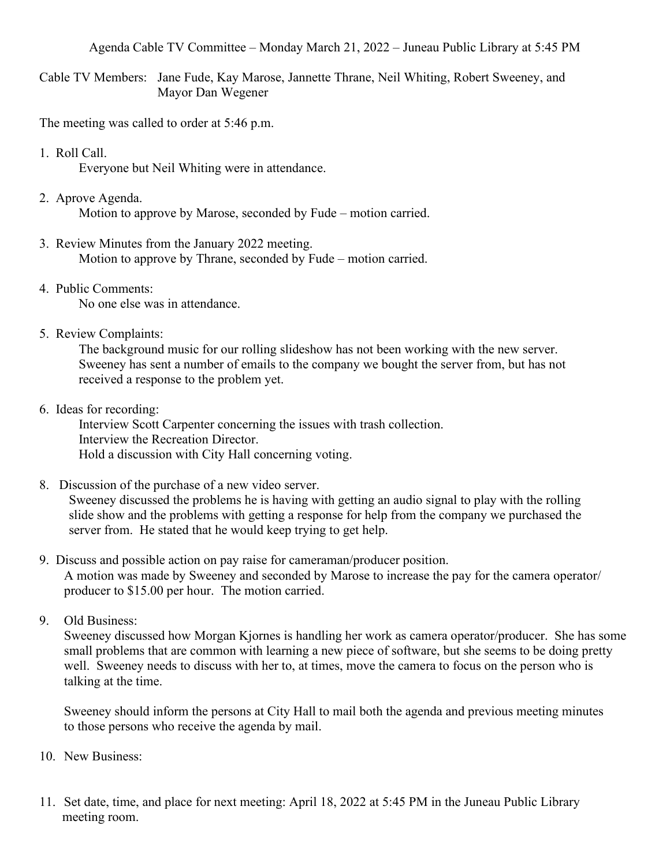Agenda Cable TV Committee – Monday March 21, 2022 – Juneau Public Library at 5:45 PM

Cable TV Members: Jane Fude, Kay Marose, Jannette Thrane, Neil Whiting, Robert Sweeney, and Mayor Dan Wegener

The meeting was called to order at 5:46 p.m.

1. Roll Call.

Everyone but Neil Whiting were in attendance.

2. Aprove Agenda.

Motion to approve by Marose, seconded by Fude – motion carried.

- 3. Review Minutes from the January 2022 meeting. Motion to approve by Thrane, seconded by Fude – motion carried.
- 4. Public Comments: No one else was in attendance.
- 5. Review Complaints:

 The background music for our rolling slideshow has not been working with the new server. Sweeney has sent a number of emails to the company we bought the server from, but has not received a response to the problem yet.

6. Ideas for recording:

Interview Scott Carpenter concerning the issues with trash collection. Interview the Recreation Director. Hold a discussion with City Hall concerning voting.

8. Discussion of the purchase of a new video server.

 Sweeney discussed the problems he is having with getting an audio signal to play with the rolling slide show and the problems with getting a response for help from the company we purchased the server from. He stated that he would keep trying to get help.

- 9. Discuss and possible action on pay raise for cameraman/producer position. A motion was made by Sweeney and seconded by Marose to increase the pay for the camera operator/ producer to \$15.00 per hour. The motion carried.
- 9. Old Business:

Sweeney discussed how Morgan Kjornes is handling her work as camera operator/producer. She has some small problems that are common with learning a new piece of software, but she seems to be doing pretty well. Sweeney needs to discuss with her to, at times, move the camera to focus on the person who is talking at the time.

Sweeney should inform the persons at City Hall to mail both the agenda and previous meeting minutes to those persons who receive the agenda by mail.

- 10. New Business:
- 11. Set date, time, and place for next meeting: April 18, 2022 at 5:45 PM in the Juneau Public Library meeting room.